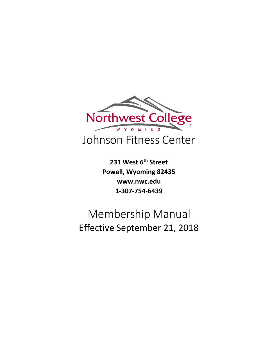

**231 West 6th Street Powell, Wyoming 82435 www.nwc.edu 1-307-754-6439**

# Membership Manual Effective September 21, 2018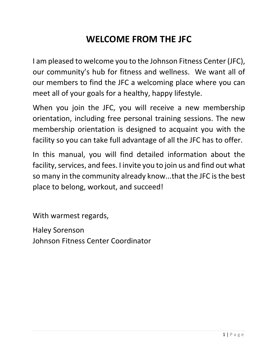# **WELCOME FROM THE JFC**

I am pleased to welcome you to the Johnson Fitness Center (JFC), our community's hub for fitness and wellness. We want all of our members to find the JFC a welcoming place where you can meet all of your goals for a healthy, happy lifestyle.

When you join the JFC, you will receive a new membership orientation, including free personal training sessions. The new membership orientation is designed to acquaint you with the facility so you can take full advantage of all the JFC has to offer.

In this manual, you will find detailed information about the facility, services, and fees. I invite you to join us and find out what so many in the community already know...that the JFC is the best place to belong, workout, and succeed!

With warmest regards,

Haley Sorenson Johnson Fitness Center Coordinator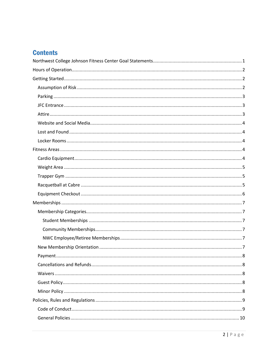# **Contents**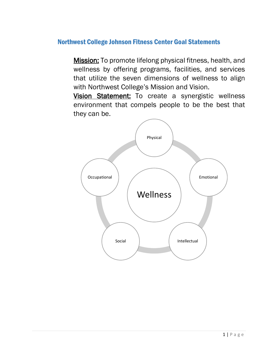# <span id="page-4-0"></span>Northwest College Johnson Fitness Center Goal Statements

Mission: To promote lifelong physical fitness, health, and wellness by offering programs, facilities, and services that utilize the seven dimensions of wellness to align with Northwest College's Mission and Vision.

Vision Statement: To create a synergistic wellness environment that compels people to be the best that they can be.

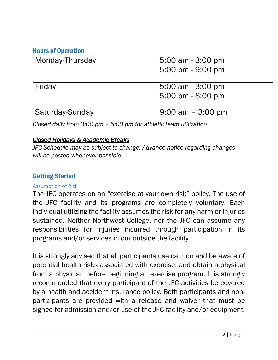## <span id="page-5-0"></span>Hours of Operation

| Monday-Thursday | 5:00 am - 3:00 pm    |
|-----------------|----------------------|
|                 | 5:00 pm - 9:00 pm    |
|                 |                      |
| Friday          | $5:00$ am $-3:00$ pm |
|                 | 5:00 pm - 8:00 pm    |
| Saturday-Sunday | $9:00$ am $-3:00$ pm |

*Closed daily from 3:00 pm – 5:00 pm for athletic team utilization.*

## *Closed Holidays & Academic Breaks*

*JFC Schedule may be subject to change. Advance notice regarding changes will be posted whenever possible.* 

# <span id="page-5-1"></span>Getting Started

#### <span id="page-5-2"></span>Assumption of Risk

The JFC operates on an "exercise at your own risk" policy. The use of the JFC facility and its programs are completely voluntary. Each individual utilizing the facility assumes the risk for any harm or injuries sustained. Neither Northwest College, nor the JFC can assume any responsibilities for injuries incurred through participation in its programs and/or services in our outside the facility.

It is strongly advised that all participants use caution and be aware of potential health risks associated with exercise, and obtain a physical from a physician before beginning an exercise program. It is strongly recommended that every participant of the JFC activities be covered by a health and accident insurance policy. Both participants and nonparticipants are provided with a release and waiver that must be signed for admission and/or use of the JFC facility and/or equipment.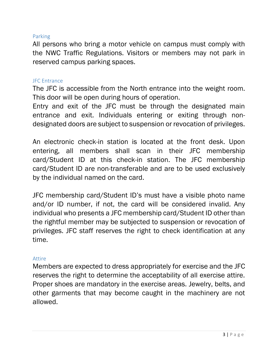#### <span id="page-6-0"></span>Parking

All persons who bring a motor vehicle on campus must comply with the NWC Traffic Regulations. Visitors or members may not park in reserved campus parking spaces.

#### <span id="page-6-1"></span>JFC Entrance

The JFC is accessible from the North entrance into the weight room. This door will be open during hours of operation.

Entry and exit of the JFC must be through the designated main entrance and exit. Individuals entering or exiting through nondesignated doors are subject to suspension or revocation of privileges.

An electronic check-in station is located at the front desk. Upon entering, all members shall scan in their JFC membership card/Student ID at this check-in station. The JFC membership card/Student ID are non-transferable and are to be used exclusively by the individual named on the card.

JFC membership card/Student ID's must have a visible photo name and/or ID number, if not, the card will be considered invalid. Any individual who presents a JFC membership card/Student ID other than the rightful member may be subjected to suspension or revocation of privileges. JFC staff reserves the right to check identification at any time.

#### <span id="page-6-2"></span>Attire

Members are expected to dress appropriately for exercise and the JFC reserves the right to determine the acceptability of all exercise attire. Proper shoes are mandatory in the exercise areas. Jewelry, belts, and other garments that may become caught in the machinery are not allowed.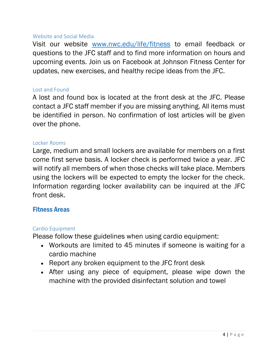#### <span id="page-7-0"></span>Website and Social Media

Visit our website [www.nwc.edu/life/fitness](http://www.nwc.edu/life/fitness) to email feedback or questions to the JFC staff and to find more information on hours and upcoming events. Join us on Facebook at Johnson Fitness Center for updates, new exercises, and healthy recipe ideas from the JFC.

#### <span id="page-7-1"></span>Lost and Found

A lost and found box is located at the front desk at the JFC. Please contact a JFC staff member if you are missing anything. All items must be identified in person. No confirmation of lost articles will be given over the phone.

#### <span id="page-7-2"></span>Locker Rooms

Large, medium and small lockers are available for members on a first come first serve basis. A locker check is performed twice a year. JFC will notify all members of when those checks will take place. Members using the lockers will be expected to empty the locker for the check. Information regarding locker availability can be inquired at the JFC front desk.

## <span id="page-7-3"></span>Fitness Areas

#### <span id="page-7-4"></span>Cardio Equipment

Please follow these guidelines when using cardio equipment:

- Workouts are limited to 45 minutes if someone is waiting for a cardio machine
- Report any broken equipment to the JFC front desk
- After using any piece of equipment, please wipe down the machine with the provided disinfectant solution and towel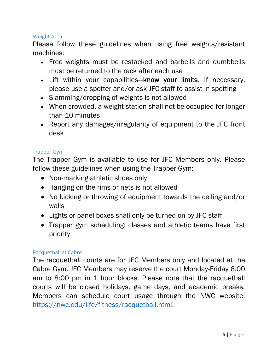#### <span id="page-8-0"></span>Weight Area

Please follow these guidelines when using free weights/resistant machines:

- Free weights must be restacked and barbells and dumbbells must be returned to the rack after each use
- Lift within your capabilities—know your limits. If necessary, please use a spotter and/or ask JFC staff to assist in spotting
- Slamming/dropping of weights is not allowed
- When crowded, a weight station shall not be occupied for longer than 10 minutes
- Report any damages/irregularity of equipment to the JFC front desk

## <span id="page-8-1"></span>Trapper Gym

The Trapper Gym is available to use for JFC Members only. Please follow these guidelines when using the Trapper Gym:

- Non-marking athletic shoes only
- Hanging on the rims or nets is not allowed
- No kicking or throwing of equipment towards the ceiling and/or walls
- Lights or panel boxes shall only be turned on by JFC staff
- Trapper gym scheduling: classes and athletic teams have first priority

## <span id="page-8-2"></span>Racquetball at Cabre

The racquetball courts are for JFC Members only and located at the Cabre Gym. JFC Members may reserve the court Monday-Friday 6:00 am to 8:00 pm in 1 hour blocks. Please note that the racquetball courts will be closed holidays, game days, and academic breaks. Members can schedule court usage through the NWC website: [https://nwc.edu/life/fitness/racquetball.html.](https://nwc.edu/life/fitness/racquetball.html)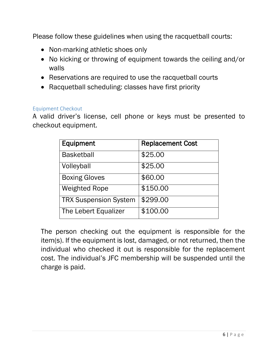Please follow these guidelines when using the racquetball courts:

- Non-marking athletic shoes only
- No kicking or throwing of equipment towards the ceiling and/or walls
- Reservations are required to use the racquetball courts
- Racquetball scheduling: classes have first priority

#### <span id="page-9-0"></span>Equipment Checkout

A valid driver's license, cell phone or keys must be presented to checkout equipment.

| Equipment                    | <b>Replacement Cost</b> |
|------------------------------|-------------------------|
| <b>Basketball</b>            | \$25.00                 |
| Volleyball                   | \$25.00                 |
| <b>Boxing Gloves</b>         | \$60.00                 |
| <b>Weighted Rope</b>         | \$150.00                |
| <b>TRX Suspension System</b> | \$299.00                |
| The Lebert Equalizer         | \$100.00                |

The person checking out the equipment is responsible for the item(s). If the equipment is lost, damaged, or not returned, then the individual who checked it out is responsible for the replacement cost. The individual's JFC membership will be suspended until the charge is paid.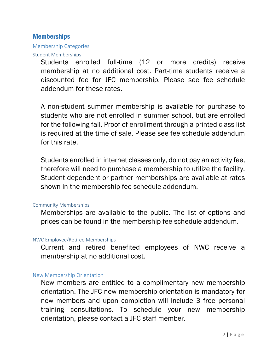## <span id="page-10-0"></span>Memberships

#### <span id="page-10-1"></span>Membership Categories

#### <span id="page-10-2"></span>Student Memberships

Students enrolled full-time (12 or more credits) receive membership at no additional cost. Part-time students receive a discounted fee for JFC membership. Please see fee schedule addendum for these rates.

A non-student summer membership is available for purchase to students who are not enrolled in summer school, but are enrolled for the following fall. Proof of enrollment through a printed class list is required at the time of sale. Please see fee schedule addendum for this rate.

Students enrolled in internet classes only, do not pay an activity fee, therefore will need to purchase a membership to utilize the facility. Student dependent or partner memberships are available at rates shown in the membership fee schedule addendum.

#### <span id="page-10-3"></span>Community Memberships

Memberships are available to the public. The list of options and prices can be found in the membership fee schedule addendum.

#### <span id="page-10-4"></span>NWC Employee/Retiree Memberships

Current and retired benefited employees of NWC receive a membership at no additional cost.

#### <span id="page-10-5"></span>New Membership Orientation

New members are entitled to a complimentary new membership orientation. The JFC new membership orientation is mandatory for new members and upon completion will include 3 free personal training consultations. To schedule your new membership orientation, please contact a JFC staff member.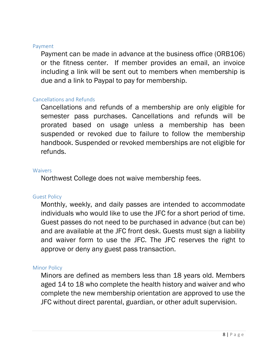#### <span id="page-11-0"></span>Payment

Payment can be made in advance at the business office (ORB106) or the fitness center. If member provides an email, an invoice including a link will be sent out to members when membership is due and a link to Paypal to pay for membership.

#### <span id="page-11-1"></span>Cancellations and Refunds

Cancellations and refunds of a membership are only eligible for semester pass purchases. Cancellations and refunds will be prorated based on usage unless a membership has been suspended or revoked due to failure to follow the membership handbook. Suspended or revoked memberships are not eligible for refunds.

#### <span id="page-11-2"></span>Waivers

Northwest College does not waive membership fees.

#### <span id="page-11-3"></span>Guest Policy

Monthly, weekly, and daily passes are intended to accommodate individuals who would like to use the JFC for a short period of time. Guest passes do not need to be purchased in advance (but can be) and are available at the JFC front desk. Guests must sign a liability and waiver form to use the JFC. The JFC reserves the right to approve or deny any guest pass transaction.

#### <span id="page-11-4"></span>Minor Policy

Minors are defined as members less than 18 years old. Members aged 14 to 18 who complete the health history and waiver and who complete the new membership orientation are approved to use the JFC without direct parental, guardian, or other adult supervision.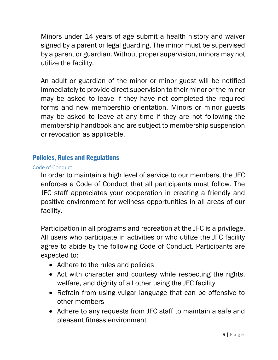Minors under 14 years of age submit a health history and waiver signed by a parent or legal guarding. The minor must be supervised by a parent or guardian. Without proper supervision, minors may not utilize the facility.

An adult or guardian of the minor or minor guest will be notified immediately to provide direct supervision to their minor or the minor may be asked to leave if they have not completed the required forms and new membership orientation. Minors or minor guests may be asked to leave at any time if they are not following the membership handbook and are subject to membership suspension or revocation as applicable.

# <span id="page-12-0"></span>Policies, Rules and Regulations

## <span id="page-12-1"></span>Code of Conduct

In order to maintain a high level of service to our members, the JFC enforces a Code of Conduct that all participants must follow. The JFC staff appreciates your cooperation in creating a friendly and positive environment for wellness opportunities in all areas of our facility.

Participation in all programs and recreation at the JFC is a privilege. All users who participate in activities or who utilize the JFC facility agree to abide by the following Code of Conduct. Participants are expected to:

- Adhere to the rules and policies
- Act with character and courtesy while respecting the rights, welfare, and dignity of all other using the JFC facility
- Refrain from using vulgar language that can be offensive to other members
- Adhere to any requests from JFC staff to maintain a safe and pleasant fitness environment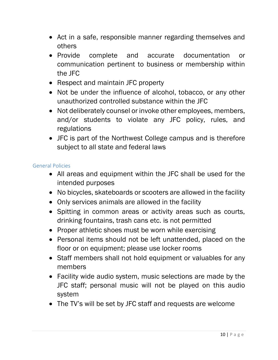- Act in a safe, responsible manner regarding themselves and others
- Provide complete and accurate documentation or communication pertinent to business or membership within the JFC
- Respect and maintain JFC property
- Not be under the influence of alcohol, tobacco, or any other unauthorized controlled substance within the JFC
- Not deliberately counsel or invoke other employees, members, and/or students to violate any JFC policy, rules, and regulations
- JFC is part of the Northwest College campus and is therefore subject to all state and federal laws

## <span id="page-13-0"></span>General Policies

- All areas and equipment within the JFC shall be used for the intended purposes
- No bicycles, skateboards or scooters are allowed in the facility
- Only services animals are allowed in the facility
- Spitting in common areas or activity areas such as courts, drinking fountains, trash cans etc. is not permitted
- Proper athletic shoes must be worn while exercising
- Personal items should not be left unattended, placed on the floor or on equipment; please use locker rooms
- Staff members shall not hold equipment or valuables for any members
- Facility wide audio system, music selections are made by the JFC staff; personal music will not be played on this audio system
- The TV's will be set by JFC staff and requests are welcome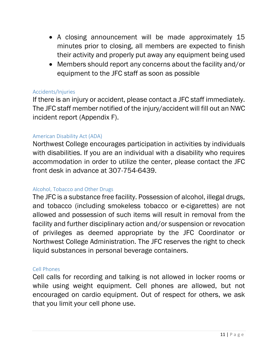- A closing announcement will be made approximately 15 minutes prior to closing, all members are expected to finish their activity and properly put away any equipment being used
- Members should report any concerns about the facility and/or equipment to the JFC staff as soon as possible

#### <span id="page-14-0"></span>Accidents/Injuries

If there is an injury or accident, please contact a JFC staff immediately. The JFC staff member notified of the injury/accident will fill out an NWC incident report (Appendix F).

#### <span id="page-14-1"></span>American Disability Act (ADA)

Northwest College encourages participation in activities by individuals with disabilities. If you are an individual with a disability who requires accommodation in order to utilize the center, please contact the JFC front desk in advance at 307-754-6439.

#### <span id="page-14-2"></span>Alcohol, Tobacco and Other Drugs

The JFC is a substance free facility. Possession of alcohol, illegal drugs, and tobacco (including smokeless tobacco or e-cigarettes) are not allowed and possession of such items will result in removal from the facility and further disciplinary action and/or suspension or revocation of privileges as deemed appropriate by the JFC Coordinator or Northwest College Administration. The JFC reserves the right to check liquid substances in personal beverage containers.

## <span id="page-14-3"></span>Cell Phones

Cell calls for recording and talking is not allowed in locker rooms or while using weight equipment. Cell phones are allowed, but not encouraged on cardio equipment. Out of respect for others, we ask that you limit your cell phone use.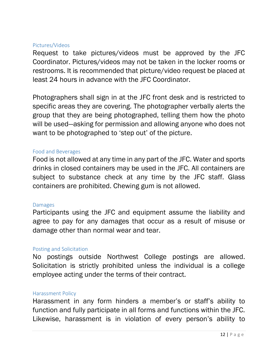#### <span id="page-15-0"></span>Pictures/Videos

Request to take pictures/videos must be approved by the JFC Coordinator. Pictures/videos may not be taken in the locker rooms or restrooms. It is recommended that picture/video request be placed at least 24 hours in advance with the JFC Coordinator.

Photographers shall sign in at the JFC front desk and is restricted to specific areas they are covering. The photographer verbally alerts the group that they are being photographed, telling them how the photo will be used—asking for permission and allowing anyone who does not want to be photographed to 'step out' of the picture.

#### <span id="page-15-1"></span>Food and Beverages

Food is not allowed at any time in any part of the JFC. Water and sports drinks in closed containers may be used in the JFC. All containers are subject to substance check at any time by the JFC staff. Glass containers are prohibited. Chewing gum is not allowed.

#### <span id="page-15-2"></span>Damages

Participants using the JFC and equipment assume the liability and agree to pay for any damages that occur as a result of misuse or damage other than normal wear and tear.

#### <span id="page-15-3"></span>Posting and Solicitation

No postings outside Northwest College postings are allowed. Solicitation is strictly prohibited unless the individual is a college employee acting under the terms of their contract.

#### <span id="page-15-4"></span>Harassment Policy

Harassment in any form hinders a member's or staff's ability to function and fully participate in all forms and functions within the JFC. Likewise, harassment is in violation of every person's ability to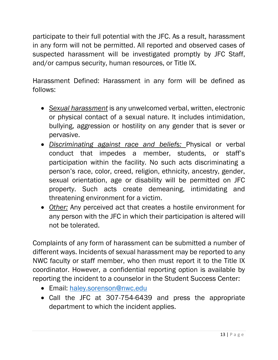participate to their full potential with the JFC. As a result, harassment in any form will not be permitted. All reported and observed cases of suspected harassment will be investigated promptly by JFC Staff, and/or campus security, human resources, or Title IX.

Harassment Defined: Harassment in any form will be defined as follows:

- *Sexual harassment* is any unwelcomed verbal, written, electronic or physical contact of a sexual nature. It includes intimidation, bullying, aggression or hostility on any gender that is sever or pervasive.
- *Discriminating against race and beliefs:* Physical or verbal conduct that impedes a member, students, or staff's participation within the facility. No such acts discriminating a person's race, color, creed, religion, ethnicity, ancestry, gender, sexual orientation, age or disability will be permitted on JFC property. Such acts create demeaning, intimidating and threatening environment for a victim.
- *Other:* Any perceived act that creates a hostile environment for any person with the JFC in which their participation is altered will not be tolerated.

Complaints of any form of harassment can be submitted a number of different ways. Incidents of sexual harassment may be reported to any NWC faculty or staff member, who then must report it to the Title IX coordinator. However, a confidential reporting option is available by reporting the incident to a counselor in the Student Success Center:

- Email: [haley.sorenson@nwc.edu](mailto:haley.sorenson@nwc.edu)
- Call the JFC at 307-754-6439 and press the appropriate department to which the incident applies.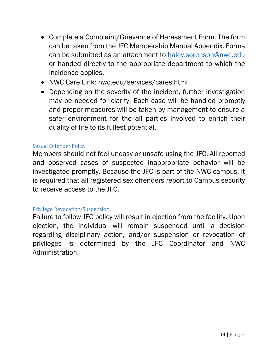- Complete a Complaint/Grievance of Harassment Form. The form can be taken from the JFC Membership Manual Appendix. Forms can be submitted as an attachment to [haley.sorenson@nwc.edu](mailto:haley.sorenson@nwc.edu) or handed directly to the appropriate department to which the incidence applies.
- NWC Care Link: nwc.edu/services/cares.html
- Depending on the severity of the incident, further investigation may be needed for clarity. Each case will be handled promptly and proper measures will be taken by management to ensure a safer environment for the all parties involved to enrich their quality of life to its fullest potential.

#### <span id="page-17-0"></span>Sexual Offender Policy

Members should not feel uneasy or unsafe using the JFC. All reported and observed cases of suspected inappropriate behavior will be investigated promptly. Because the JFC is part of the NWC campus, it is required that all registered sex offenders report to Campus security to receive access to the JFC.

## <span id="page-17-1"></span>Privilege Revocation/Suspension

Failure to follow JFC policy will result in ejection from the facility. Upon ejection, the individual will remain suspended until a decision regarding disciplinary action, and/or suspension or revocation of privileges is determined by the JFC Coordinator and NWC Administration.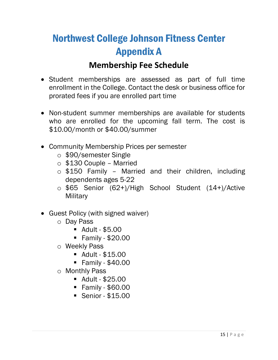# <span id="page-18-0"></span>Northwest College Johnson Fitness Center Appendix A

# **Membership Fee Schedule**

- Student memberships are assessed as part of full time enrollment in the College. Contact the desk or business office for prorated fees if you are enrolled part time
- Non-student summer memberships are available for students who are enrolled for the upcoming fall term. The cost is \$10.00/month or \$40.00/summer
- Community Membership Prices per semester
	- o \$90/semester Single
	- o \$130 Couple Married
	- o \$150 Family Married and their children, including dependents ages 5-22
	- o \$65 Senior (62+)/High School Student (14+)/Active **Military**
- Guest Policy (with signed waiver)
	- o Day Pass
		- $\blacksquare$  Adult \$5.00
		- Family \$20.00
	- o Weekly Pass
		- Adult \$15.00
		- $\blacksquare$  Family \$40.00
	- o Monthly Pass
		- Adult \$25.00
		- Family \$60.00
		- Senior \$15.00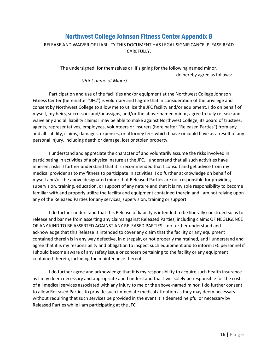## Northwest College Johnson Fitness Center Appendix B

#### <span id="page-19-0"></span>RELEASE AND WAIVER OF LIABILITY THIS DOCUMENT HAS LEGAL SIGNIFICANCE. PLEASE READ CAREFULLY.

The undersigned, for themselves or, if signing for the following named minor, do hereby agree as follows:

*(Print name of Minor)*

Participation and use of the facilities and/or equipment at the Northwest College Johnson Fitness Center (hereinafter "JFC") is voluntary and I agree that in consideration of the privilege and consent by Northwest College to allow me to utilize the JFC facility and/or equipment, I do on behalf of myself, my heirs, successors and/or assigns, and/or the above-named minor, agree to fully release and waive any and all liability claims I may be able to make against Northwest College, its board of trustees, agents, representatives, employees, volunteers or insurers (hereinafter "Released Parties") from any and all liability, claims, damages, expenses, or attorney fees which I have or could have as a result of any personal injury, including death or damage, lost or stolen property.

I understand and appreciate the character of and voluntarily assume the risks involved in participating in activities of a physical nature at the JFC. I understand that all such activities have inherent risks. I further understand that it is recommended that I consult and get advice from my medical provider as to my fitness to participate in activities. I do further acknowledge on behalf of myself and/or the above designated minor that Released Parties are not responsible for providing supervision, training, education, or support of any nature and that it is my sole responsibility to become familiar with and properly utilize the facility and equipment contained therein and I am not relying upon any of the Released Parties for any services, supervision, training or support.

I do further understand that this Release of liability is intended to be liberally construed so as to release and bar me from asserting any claims against Released Parties, including claims OF NEGLIGENCE OF ANY KIND TO BE ASSERTED AGAINST ANY RELEASED PARTIES. I do further understand and acknowledge that this Release is intended to cover any claim that the facility or any equipment contained therein is in any way defective, in disrepair, or not properly maintained, and I understand and agree that it is my responsibility and obligation to inspect such equipment and to inform JFC personnel if I should become aware of any safety issue or concern pertaining to the facility or any equipment contained therein, including the maintenance thereof.

I do further agree and acknowledge that it is my responsibility to acquire such health insurance as I may deem necessary and appropriate and I understand that I will solely be responsible for the costs of all medical services associated with any injury to me or the above-named minor. I do further consent to allow Released Parties to provide such immediate medical attention as they may deem necessary without requiring that such services be provided in the event it is deemed helpful or necessary by Released Parties while I am participating at the JFC.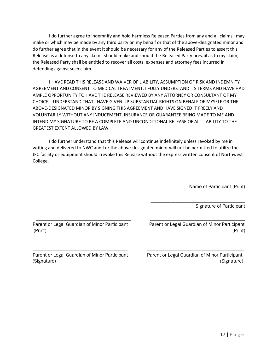I do further agree to indemnify and hold harmless Released Parties from any and all claims I may make or which may be made by any third party on my behalf or that of the above-designated minor and do further agree that in the event it should be necessary for any of the Released Parties to assert this Release as a defense to any claim I should make and should the Released Party prevail as to my claim, the Released Party shall be entitled to recover all costs, expenses and attorney fees incurred in defending against such claim.

I HAVE READ THIS RELEASE AND WAIVER OF LIABILITY, ASSUMPTION OF RISK AND INDEMNITY AGREEMENT AND CONSENT TO MEDICAL TREATMENT. I FULLY UNDERSTAND ITS TERMS AND HAVE HAD AMPLE OPPORTUNITY TO HAVE THE RELEASE REVIEWED BY ANY ATTORNEY OR CONSULTANT OF MY CHOICE. I UNDERSTAND THAT I HAVE GIVEN UP SUBSTANTIAL RIGHTS ON BEHALF OF MYSELF OR THE ABOVE-DESIGNATED MINOR BY SIGNING THIS AGREEMENT AND HAVE SIGNED IT FREELY AND VOLUNTARILY WITHOUT ANY INDUCEMENT, INSURANCE OR GUARANTEE BEING MADE TO ME AND INTEND MY SIGNATURE TO BE A COMPLETE AND UNCONDITIONAL RELEASE OF ALL LIABILITY TO THE GREATEST EXTENT ALLOWED BY LAW.

I do further understand that this Release will continue indefinitely unless revoked by me in writing and delivered to NWC and I or the above-designated minor will not be permitted to utilize the JFC facility or equipment should I revoke this Release without the express written consent of Northwest College.

\_\_\_\_\_\_\_\_\_\_\_\_\_\_\_\_\_\_\_\_\_\_\_\_\_\_\_\_\_\_\_\_\_\_\_\_\_\_ \_\_\_\_\_\_\_\_\_\_\_\_\_\_\_\_\_\_\_\_\_\_\_\_\_\_\_\_\_\_\_\_\_\_\_\_\_\_\_

Name of Participant (Print)

Signature of Participant

\_\_\_\_\_\_\_\_\_\_\_\_\_\_\_\_\_\_\_\_\_\_\_\_\_\_\_\_\_\_\_\_\_\_\_\_\_\_ \_\_\_\_\_\_\_\_\_\_\_\_\_\_\_\_\_\_\_\_\_\_\_\_\_\_\_\_\_\_\_\_\_\_\_\_\_\_ Parent or Legal Guardian of Minor Participant Parent or Legal Guardian of Minor Participant

(Print) (Print)

\_\_\_\_\_\_\_\_\_\_\_\_\_\_\_\_\_\_\_\_\_\_\_\_\_\_\_\_\_\_\_\_\_\_\_\_\_\_

\_\_\_\_\_\_\_\_\_\_\_\_\_\_\_\_\_\_\_\_\_\_\_\_\_\_\_\_\_\_\_\_\_\_\_\_\_\_

Parent or Legal Guardian of Minor Participant Parent or Legal Guardian of Minor Participant (Signature) (Signature)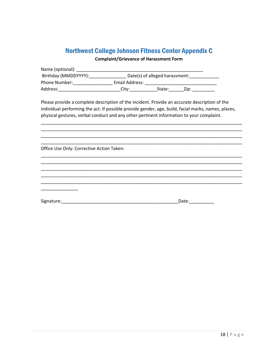# Northwest College Johnson Fitness Center Appendix C

#### **Complaint/Grievance of Harassment Form**

<span id="page-21-0"></span>

| Birthday (MMDDYYYY): Date(s) of alleged harassment: Date(s) of alleged harassment:                                                                                                                                                                                                               |  |                                                                                                                                                                                                                                                                                                                                                                                                                          |  |
|--------------------------------------------------------------------------------------------------------------------------------------------------------------------------------------------------------------------------------------------------------------------------------------------------|--|--------------------------------------------------------------------------------------------------------------------------------------------------------------------------------------------------------------------------------------------------------------------------------------------------------------------------------------------------------------------------------------------------------------------------|--|
|                                                                                                                                                                                                                                                                                                  |  |                                                                                                                                                                                                                                                                                                                                                                                                                          |  |
| Address:_____________________________City:________________State:________Zip: ___________                                                                                                                                                                                                         |  |                                                                                                                                                                                                                                                                                                                                                                                                                          |  |
| Please provide a complete description of the incident. Provide an accurate description of the<br>individual performing the act. If possible provide gender, age, build, facial marks, names, places,<br>physical gestures, verbal conduct and any other pertinent information to your complaint. |  |                                                                                                                                                                                                                                                                                                                                                                                                                          |  |
|                                                                                                                                                                                                                                                                                                  |  |                                                                                                                                                                                                                                                                                                                                                                                                                          |  |
| Office Use Only: Corrective Action Taken:                                                                                                                                                                                                                                                        |  |                                                                                                                                                                                                                                                                                                                                                                                                                          |  |
|                                                                                                                                                                                                                                                                                                  |  |                                                                                                                                                                                                                                                                                                                                                                                                                          |  |
|                                                                                                                                                                                                                                                                                                  |  |                                                                                                                                                                                                                                                                                                                                                                                                                          |  |
|                                                                                                                                                                                                                                                                                                  |  | Date: $\frac{1}{\sqrt{1-\frac{1}{2}}}\frac{1}{\sqrt{1-\frac{1}{2}}}\frac{1}{\sqrt{1-\frac{1}{2}}}\frac{1}{\sqrt{1-\frac{1}{2}}}\frac{1}{\sqrt{1-\frac{1}{2}}}\frac{1}{\sqrt{1-\frac{1}{2}}}\frac{1}{\sqrt{1-\frac{1}{2}}}\frac{1}{\sqrt{1-\frac{1}{2}}}\frac{1}{\sqrt{1-\frac{1}{2}}}\frac{1}{\sqrt{1-\frac{1}{2}}}\frac{1}{\sqrt{1-\frac{1}{2}}}\frac{1}{\sqrt{1-\frac{1}{2}}}\frac{1}{\sqrt{1-\frac{1}{2}}}\frac{1}{\$ |  |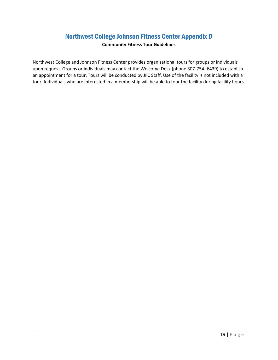# Northwest College Johnson Fitness Center Appendix D

#### **Community Fitness Tour Guidelines**

<span id="page-22-0"></span>Northwest College and Johnson Fitness Center provides organizational tours for groups or individuals upon request. Groups or individuals may contact the Welcome Desk (phone 307-754- 6439) to establish an appointment for a tour. Tours will be conducted by JFC Staff. Use of the facility is not included with a tour. Individuals who are interested in a membership will be able to tour the facility during facility hours.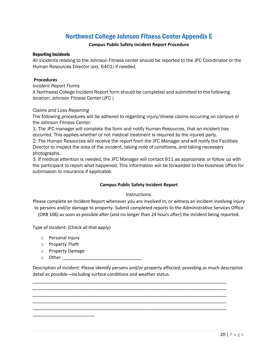## Northwest College Johnson Fitness Center Appendix E

#### **Campus Public Safety Incident Report Procedure**

#### <span id="page-23-0"></span>Reporting Incidents

All incidents relating to the Johnson Fitness center should be reported to the JFC Coordinator or the Human Resources Director (ext. 6401) if needed.

#### **Procedures**

#### *Incident Report Forms*

A Northwest College Incident Report form should be completed and submitted to the following location: Johnson Fitness Center (JFC )

#### *Claims and Loss Reporting*

The following procedures will be adhered to regarding injury/illness claims occurring on campus or the Johnson Fitness Center:

1. The JFC manager will complete the form and notify Human Resources, that an incident has occurred. This applies whether or not medical treatment is required by the injured party. 2. The Human Resources will receive the report from the JFC Manager and will notify the Facilities

Director to inspect the area of the incident, taking note of conditions, and taking necessary photographs.

3. If medical attention is needed, the JFC Manager will contact 911 as appropriate or follow up with the participant to report what happened. This information will be forwarded to the business office for submission to insurance if applicable.

#### **Campus Public Safety Incident Report**

Instructions:

Please complete an Incident Report whenever you are involved in, or witness an incident involving injury to persons and/or damage to property. Submit completed reports to the Administrative Services Office (ORB 106) as soon as possible after (and no longer than 24 hours after) the incident being reported.

Type of Incident: (Check all that apply)

- o Personal Injury
- o Property Theft
- o Property Damage

\_\_\_\_\_\_\_\_\_\_\_\_\_\_\_\_\_\_\_\_\_\_\_\_\_

 $\circ$  Other  $\qquad \qquad$ 

Description of Incident: Please identify persons and/or property affected, providing as much descriptive detail as possible—including surface conditions and weather status.

\_\_\_\_\_\_\_\_\_\_\_\_\_\_\_\_\_\_\_\_\_\_\_\_\_\_\_\_\_\_\_\_\_\_\_\_\_\_\_\_\_\_\_\_\_\_\_\_\_\_\_\_\_\_\_\_\_\_\_\_\_\_\_\_\_\_\_\_\_\_\_\_\_\_\_\_\_\_ \_\_\_\_\_\_\_\_\_\_\_\_\_\_\_\_\_\_\_\_\_\_\_\_\_\_\_\_\_\_\_\_\_\_\_\_\_\_\_\_\_\_\_\_\_\_\_\_\_\_\_\_\_\_\_\_\_\_\_\_\_\_\_\_\_\_\_\_\_\_\_\_\_\_\_\_\_\_ \_\_\_\_\_\_\_\_\_\_\_\_\_\_\_\_\_\_\_\_\_\_\_\_\_\_\_\_\_\_\_\_\_\_\_\_\_\_\_\_\_\_\_\_\_\_\_\_\_\_\_\_\_\_\_\_\_\_\_\_\_\_\_\_\_\_\_\_\_\_\_\_\_\_\_\_\_\_ \_\_\_\_\_\_\_\_\_\_\_\_\_\_\_\_\_\_\_\_\_\_\_\_\_\_\_\_\_\_\_\_\_\_\_\_\_\_\_\_\_\_\_\_\_\_\_\_\_\_\_\_\_\_\_\_\_\_\_\_\_\_\_\_\_\_\_\_\_\_\_\_\_\_\_\_\_\_ \_\_\_\_\_\_\_\_\_\_\_\_\_\_\_\_\_\_\_\_\_\_\_\_\_\_\_\_\_\_\_\_\_\_\_\_\_\_\_\_\_\_\_\_\_\_\_\_\_\_\_\_\_\_\_\_\_\_\_\_\_\_\_\_\_\_\_\_\_\_\_\_\_\_\_\_\_\_